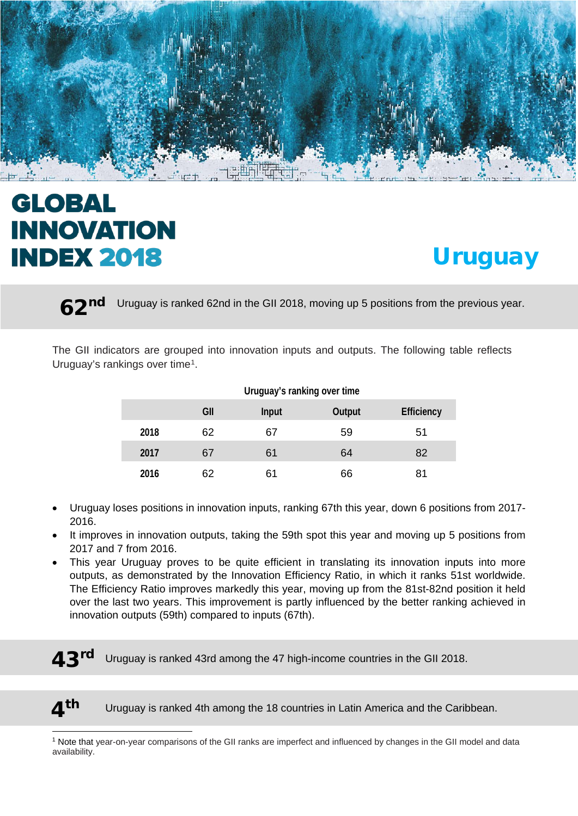

# **GLOBAL INNOVATION INDEX 2018**

 $\overline{a}$ 



62nd Uruguay is ranked 62nd in the GII 2018, moving up 5 positions from the previous year.

The GII indicators are grouped into innovation inputs and outputs. The following table reflects Uruguay's rankings over time<sup>1</sup>.

|      | <b>Unuguay Stratiking Over unle</b> |              |               |                   |  |  |  |  |
|------|-------------------------------------|--------------|---------------|-------------------|--|--|--|--|
|      | GII                                 | <b>Input</b> | <b>Output</b> | <b>Efficiency</b> |  |  |  |  |
| 2018 | 62                                  | 67           | 59            | 51                |  |  |  |  |
| 2017 | 67                                  | 61           | 64            | 82                |  |  |  |  |
| 2016 | 62                                  | 61           | 66            | 81                |  |  |  |  |

**Uruguay's ranking over time**

#### • Uruguay loses positions in innovation inputs, ranking 67th this year, down 6 positions from 2017- 2016.

- It improves in innovation outputs, taking the 59th spot this year and moving up 5 positions from 2017 and 7 from 2016.
- This year Uruguay proves to be quite efficient in translating its innovation inputs into more outputs, as demonstrated by the Innovation Efficiency Ratio, in which it ranks 51st worldwide. The Efficiency Ratio improves markedly this year, moving up from the 81st-82nd position it held over the last two years. This improvement is partly influenced by the better ranking achieved in innovation outputs (59th) compared to inputs (67th).
- $43<sup>rd</sup>$  Uruguay is ranked 43rd among the 47 high-income countries in the GII 2018.

 $\mathbf{\Lambda}^{\text{th}}$  Uruguay is ranked 4th among the 18 countries in Latin America and the Caribbean.

<span id="page-0-0"></span><sup>&</sup>lt;sup>1</sup> Note that year-on-year comparisons of the GII ranks are imperfect and influenced by changes in the GII model and data availability.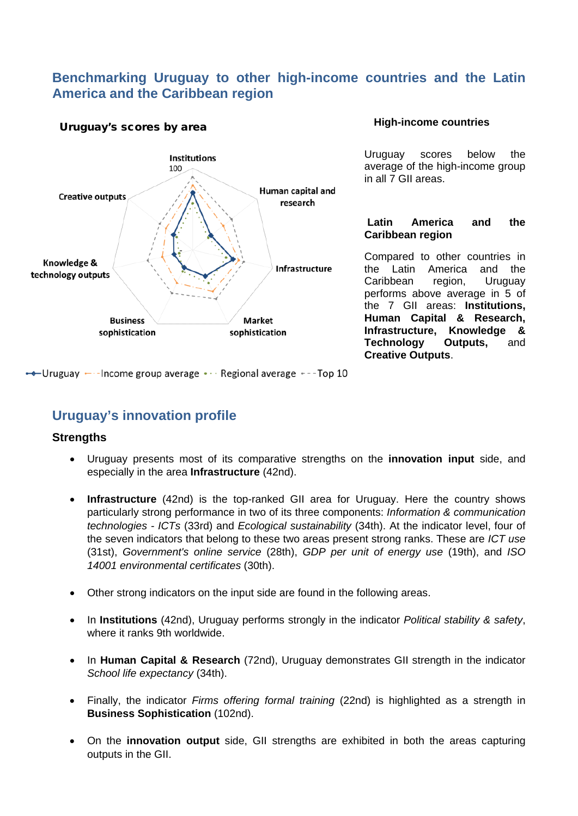### **Benchmarking Uruguay to other high-income countries and the Latin America and the Caribbean region**



#### Uruguay's scores by area

#### **High-income countries**

Uruguay scores below the average of the high-income group in all 7 GII areas.

#### **Latin America and the Caribbean region**

Compared to other countries in the Latin America and the Caribbean region, Uruguay performs above average in 5 of the 7 GII areas: **Institutions, Human Capital & Research, Infrastructure, Knowledge & Technology Outputs,** and **Creative Outputs**.

← Uruguay ← - Income group average • · · Regional average + - - Top 10

## **Uruguay's innovation profile**

#### **Strengths**

- Uruguay presents most of its comparative strengths on the **innovation input** side, and especially in the area **Infrastructure** (42nd).
- **Infrastructure** (42nd) is the top-ranked GII area for Uruguay. Here the country shows particularly strong performance in two of its three components: *Information & communication technologies - ICTs* (33rd) and *Ecological sustainability* (34th). At the indicator level, four of the seven indicators that belong to these two areas present strong ranks. These are *ICT use* (31st), *Government's online service* (28th), *GDP per unit of energy use* (19th), and *ISO 14001 environmental certificates* (30th).
- Other strong indicators on the input side are found in the following areas.
- In **Institutions** (42nd), Uruguay performs strongly in the indicator *Political stability & safety*, where it ranks 9th worldwide.
- In **Human Capital & Research** (72nd), Uruguay demonstrates GII strength in the indicator *School life expectancy* (34th).
- Finally, the indicator *Firms offering formal training* (22nd) is highlighted as a strength in **Business Sophistication** (102nd).
- On the **innovation output** side, GII strengths are exhibited in both the areas capturing outputs in the GII.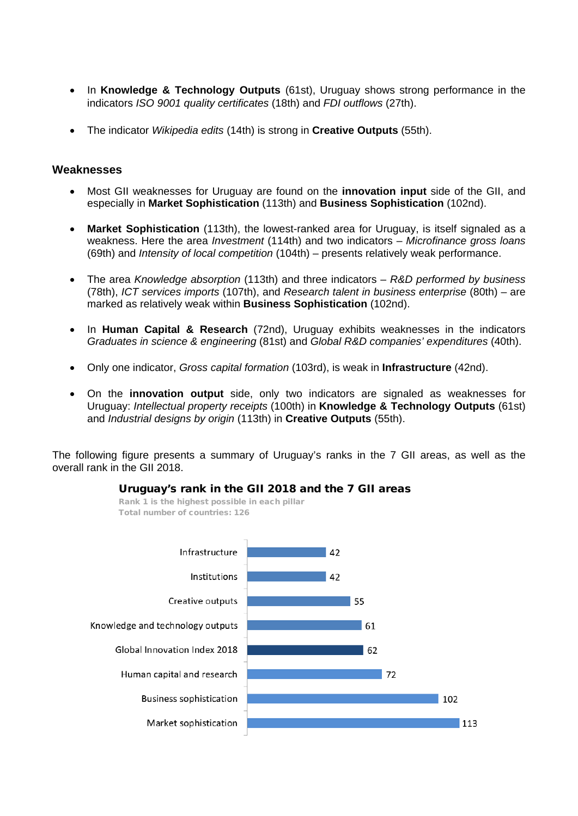- In **Knowledge & Technology Outputs** (61st), Uruguay shows strong performance in the indicators *ISO 9001 quality certificates* (18th) and *FDI outflows* (27th).
- The indicator *Wikipedia edits* (14th) is strong in **Creative Outputs** (55th).

#### **Weaknesses**

- Most GII weaknesses for Uruguay are found on the **innovation input** side of the GII, and especially in **Market Sophistication** (113th) and **Business Sophistication** (102nd).
- **Market Sophistication** (113th), the lowest-ranked area for Uruguay, is itself signaled as a weakness. Here the area *Investment* (114th) and two indicators – *Microfinance gross loans* (69th) and *Intensity of local competition* (104th) – presents relatively weak performance.
- The area *Knowledge absorption* (113th) and three indicators *R&D performed by business* (78th), *ICT services imports* (107th), and *Research talent in business enterprise* (80th) – are marked as relatively weak within **Business Sophistication** (102nd).
- In **Human Capital & Research** (72nd), Uruguay exhibits weaknesses in the indicators *Graduates in science & engineering* (81st) and *Global R&D companies' expenditures* (40th).
- Only one indicator, *Gross capital formation* (103rd), is weak in **Infrastructure** (42nd).
- On the **innovation output** side, only two indicators are signaled as weaknesses for Uruguay: *Intellectual property receipts* (100th) in **Knowledge & Technology Outputs** (61st) and *Industrial designs by origin* (113th) in **Creative Outputs** (55th).

The following figure presents a summary of Uruguay's ranks in the 7 GII areas, as well as the overall rank in the GII 2018.



Uruguay's rank in the GII 2018 and the 7 GII areas

Rank 1 is the highest possible in each pillar Total number of countries: 126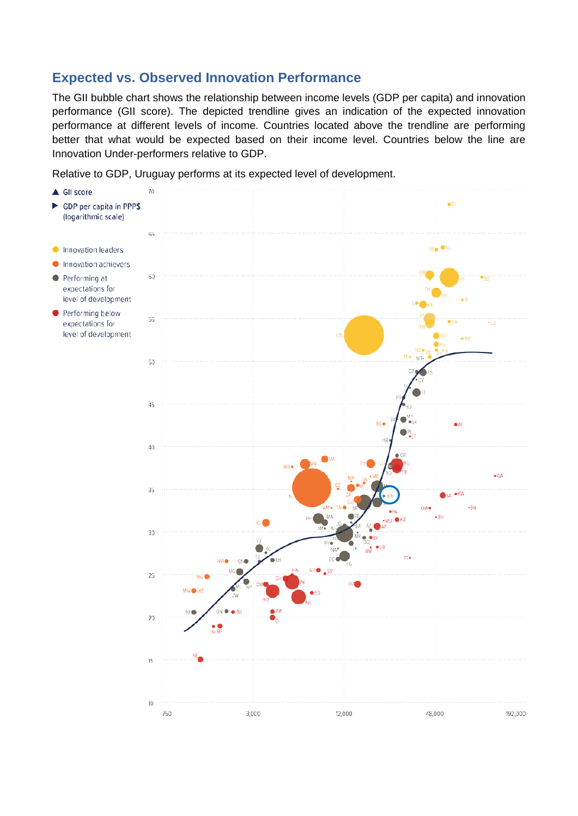# **Expected vs. Observed Innovation Performance**

The GII bubble chart shows the relationship between income levels (GDP per capita) and innovation performance (GII score). The depicted trendline gives an indication of the expected innovation performance at different levels of income. Countries located above the trendline are performing better that what would be expected based on their income level. Countries below the line are Innovation Under-performers relative to GDP.

Relative to GDP, Uruguay performs at its expected level of development.

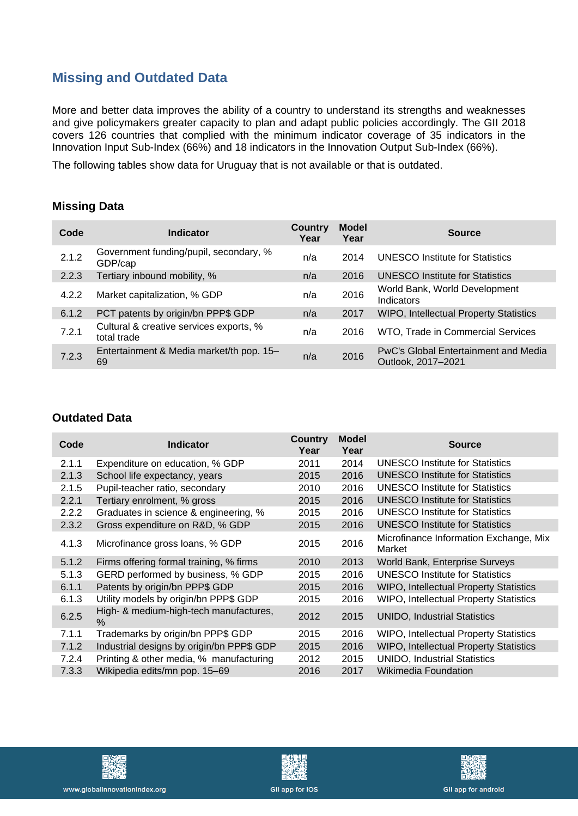# **Missing and Outdated Data**

More and better data improves the ability of a country to understand its strengths and weaknesses and give policymakers greater capacity to plan and adapt public policies accordingly. The GII 2018 covers 126 countries that complied with the minimum indicator coverage of 35 indicators in the Innovation Input Sub-Index (66%) and 18 indicators in the Innovation Output Sub-Index (66%).

The following tables show data for Uruguay that is not available or that is outdated.

#### **Missing Data**

| Code  | <b>Indicator</b>                                       | Country<br>Year | <b>Model</b><br>Year | <b>Source</b>                                              |
|-------|--------------------------------------------------------|-----------------|----------------------|------------------------------------------------------------|
| 2.1.2 | Government funding/pupil, secondary, %<br>GDP/cap      | n/a             | 2014                 | <b>UNESCO Institute for Statistics</b>                     |
| 2.2.3 | Tertiary inbound mobility, %                           | n/a             | 2016                 | <b>UNESCO Institute for Statistics</b>                     |
| 4.2.2 | Market capitalization, % GDP                           | n/a             | 2016                 | World Bank, World Development<br>Indicators                |
| 6.1.2 | PCT patents by origin/bn PPP\$ GDP                     | n/a             | 2017                 | <b>WIPO, Intellectual Property Statistics</b>              |
| 7.2.1 | Cultural & creative services exports, %<br>total trade | n/a             | 2016                 | WTO, Trade in Commercial Services                          |
| 7.2.3 | Entertainment & Media market/th pop. 15-<br>69         | n/a             | 2016                 | PwC's Global Entertainment and Media<br>Outlook, 2017-2021 |

#### **Outdated Data**

| Code  | <b>Indicator</b>                               | <b>Country</b><br>Year | <b>Model</b><br>Year | <b>Source</b>                                    |
|-------|------------------------------------------------|------------------------|----------------------|--------------------------------------------------|
| 2.1.1 | Expenditure on education, % GDP                | 2011                   | 2014                 | UNESCO Institute for Statistics                  |
| 2.1.3 | School life expectancy, years                  | 2015                   | 2016                 | <b>UNESCO Institute for Statistics</b>           |
| 2.1.5 | Pupil-teacher ratio, secondary                 | 2010                   | 2016                 | <b>UNESCO Institute for Statistics</b>           |
| 2.2.1 | Tertiary enrolment, % gross                    | 2015                   | 2016                 | <b>UNESCO Institute for Statistics</b>           |
| 2.2.2 | Graduates in science & engineering, %          | 2015                   | 2016                 | <b>UNESCO Institute for Statistics</b>           |
| 2.3.2 | Gross expenditure on R&D, % GDP                | 2015                   | 2016                 | <b>UNESCO Institute for Statistics</b>           |
| 4.1.3 | Microfinance gross loans, % GDP                | 2015                   | 2016                 | Microfinance Information Exchange, Mix<br>Market |
| 5.1.2 | Firms offering formal training, % firms        | 2010                   | 2013                 | World Bank, Enterprise Surveys                   |
| 5.1.3 | GERD performed by business, % GDP              | 2015                   | 2016                 | <b>UNESCO Institute for Statistics</b>           |
| 6.1.1 | Patents by origin/bn PPP\$ GDP                 | 2015                   | 2016                 | <b>WIPO, Intellectual Property Statistics</b>    |
| 6.1.3 | Utility models by origin/bn PPP\$ GDP          | 2015                   | 2016                 | <b>WIPO, Intellectual Property Statistics</b>    |
| 6.2.5 | High- & medium-high-tech manufactures,<br>$\%$ | 2012                   | 2015                 | <b>UNIDO, Industrial Statistics</b>              |
| 7.1.1 | Trademarks by origin/bn PPP\$ GDP              | 2015                   | 2016                 | <b>WIPO, Intellectual Property Statistics</b>    |
| 7.1.2 | Industrial designs by origin/bn PPP\$ GDP      | 2015                   | 2016                 | <b>WIPO, Intellectual Property Statistics</b>    |
| 7.2.4 | Printing & other media, % manufacturing        | 2012                   | 2015                 | <b>UNIDO, Industrial Statistics</b>              |
| 7.3.3 | Wikipedia edits/mn pop. 15–69                  | 2016                   | 2017                 | Wikimedia Foundation                             |